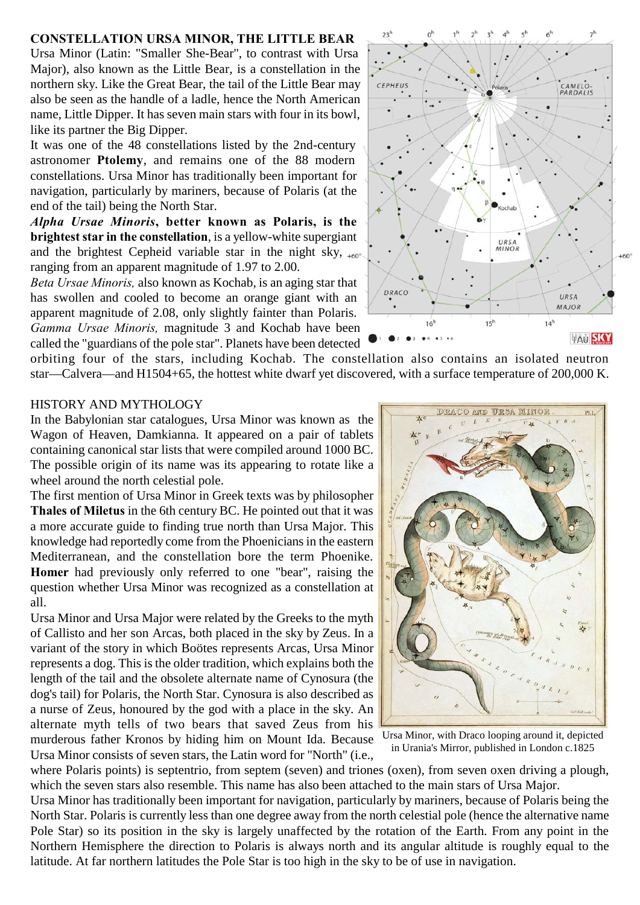#### **CONSTELLATION URSA MINOR, THE LITTLE BEAR**

Ursa Minor (Latin: "Smaller She-Bear", to contrast with Ursa Major), also known as the Little Bear, is a constellation in the northern sky. Like the Great Bear, the tail of the Little Bear may also be seen as the handle of a ladle, hence the North American name, Little Dipper. It has seven main stars with four in its bowl, like its partner the Big Dipper.

It was one of the 48 constellations listed by the 2nd-century astronomer **Ptolemy**, and remains one of the 88 modern constellations. Ursa Minor has traditionally been important for navigation, particularly by mariners, because of Polaris (at the end of the tail) being the North Star.

*Alpha Ursae Minoris***, better known as Polaris, is the brightest star in the constellation**, is a yellow-white supergiant and the brightest Cepheid variable star in the night sky,  $_{+60^\circ}$ ranging from an apparent magnitude of 1.97 to 2.00.

*Beta Ursae Minoris,* also known as Kochab, is an aging star that has swollen and cooled to become an orange giant with an apparent magnitude of 2.08, only slightly fainter than Polaris. *Gamma Ursae Minoris,* magnitude 3 and Kochab have been called the "guardians of the pole star". Planets have been detected

orbiting four of the stars, including Kochab. The constellation also contains an isolated neutron star—Calvera—and H1504+65, the hottest white dwarf yet discovered, with a surface temperature of 200,000 K.

 $2<sup>2</sup>$ 

#### HISTORY AND MYTHOLOGY

In the Babylonian star catalogues, Ursa Minor was known as the Wagon of Heaven, Damkianna. It appeared on a pair of tablets containing canonical star lists that were compiled around 1000 BC. The possible origin of its name was its appearing to rotate like a wheel around the north celestial pole.

The first mention of Ursa Minor in Greek texts was by philosopher **Thales of Miletus** in the 6th century BC. He pointed out that it was a more accurate guide to finding true north than Ursa Major. This knowledge had reportedly come from the Phoenicians in the eastern Mediterranean, and the constellation bore the term Phoenike. **Homer** had previously only referred to one "bear", raising the question whether Ursa Minor was recognized as a constellation at all.

Ursa Minor and Ursa Major were related by the Greeks to the myth of Callisto and her son Arcas, both placed in the sky by Zeus. In a variant of the story in which Boötes represents Arcas, Ursa Minor represents a dog. This is the older tradition, which explains both the length of the tail and the obsolete alternate name of Cynosura (the dog's tail) for Polaris, the North Star. Cynosura is also described as a nurse of Zeus, honoured by the god with a place in the sky. An alternate myth tells of two bears that saved Zeus from his murderous father Kronos by hiding him on Mount Ida. Because Ursa Minor consists of seven stars, the Latin word for "North" (i.e.,

where Polaris points) is septentrio, from septem (seven) and triones (oxen), from seven oxen driving a plough, which the seven stars also resemble. This name has also been attached to the main stars of Ursa Major.

Ursa Minor has traditionally been important for navigation, particularly by mariners, because of Polaris being the North Star. Polaris is currently less than one degree away from the north celestial pole (hence the alternative name Pole Star) so its position in the sky is largely unaffected by the rotation of the Earth. From any point in the Northern Hemisphere the direction to Polaris is always north and its angular altitude is roughly equal to the latitude. At far northern latitudes the Pole Star is too high in the sky to be of use in navigation.